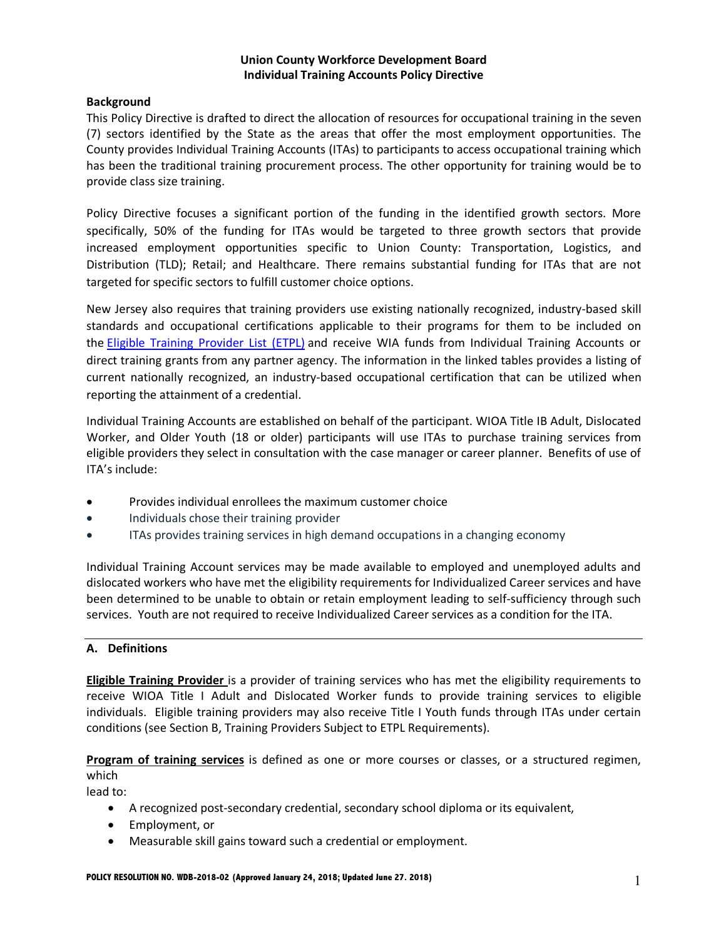#### **Background**

This Policy Directive is drafted to direct the allocation of resources for occupational training in the seven (7) sectors identified by the State as the areas that offer the most employment opportunities. The County provides Individual Training Accounts (ITAs) to participants to access occupational training which has been the traditional training procurement process. The other opportunity for training would be to provide class size training.

Policy Directive focuses a significant portion of the funding in the identified growth sectors. More specifically, 50% of the funding for ITAs would be targeted to three growth sectors that provide increased employment opportunities specific to Union County: Transportation, Logistics, and Distribution (TLD); Retail; and Healthcare. There remains substantial funding for ITAs that are not targeted for specific sectors to fulfill customer choice options.

New Jersey also requires that training providers use existing nationally recognized, industry-based skill standards and occupational certifications applicable to their programs for them to be included on the Eligible Training Provider List (ETPL) and receive WIA funds from Individual Training Accounts or direct training grants from any partner agency. The information in the linked tables provides a listing of current nationally recognized, an industry-based occupational certification that can be utilized when reporting the attainment of a credential.

Individual Training Accounts are established on behalf of the participant. WIOA Title IB Adult, Dislocated Worker, and Older Youth (18 or older) participants will use ITAs to purchase training services from eligible providers they select in consultation with the case manager or career planner. Benefits of use of ITA's include:

- Provides individual enrollees the maximum customer choice
- Individuals chose their training provider
- ITAs provides training services in high demand occupations in a changing economy

Individual Training Account services may be made available to employed and unemployed adults and dislocated workers who have met the eligibility requirements for Individualized Career services and have been determined to be unable to obtain or retain employment leading to self-sufficiency through such services. Youth are not required to receive Individualized Career services as a condition for the ITA.

### **A. Definitions**

**Eligible Training Provider** is a provider of training services who has met the eligibility requirements to receive WIOA Title I Adult and Dislocated Worker funds to provide training services to eligible individuals. Eligible training providers may also receive Title I Youth funds through ITAs under certain conditions (see Section B, Training Providers Subject to ETPL Requirements).

**Program of training services** is defined as one or more courses or classes, or a structured regimen, which

lead to:

- A recognized post-secondary credential, secondary school diploma or its equivalent,
- Employment, or
- Measurable skill gains toward such a credential or employment.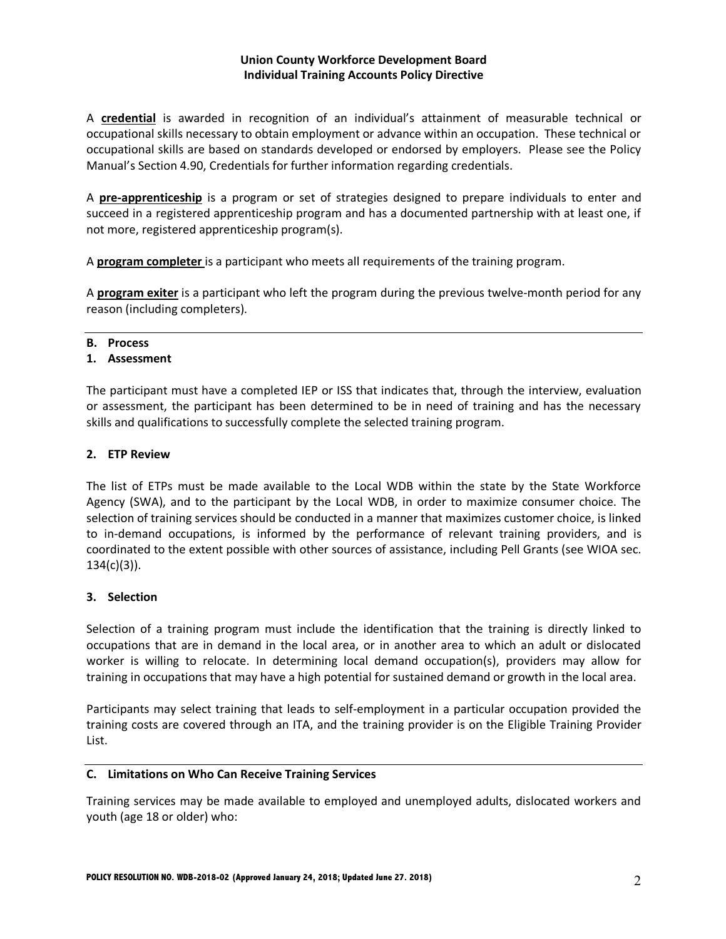A **credential** is awarded in recognition of an individual's attainment of measurable technical or occupational skills necessary to obtain employment or advance within an occupation. These technical or occupational skills are based on standards developed or endorsed by employers. Please see the Policy Manual's Section 4.90, Credentials for further information regarding credentials.

A **pre-apprenticeship** is a program or set of strategies designed to prepare individuals to enter and succeed in a registered apprenticeship program and has a documented partnership with at least one, if not more, registered apprenticeship program(s).

A **program completer** is a participant who meets all requirements of the training program.

A **program exiter** is a participant who left the program during the previous twelve-month period for any reason (including completers).

#### **B. Process**

### **1. Assessment**

The participant must have a completed IEP or ISS that indicates that, through the interview, evaluation or assessment, the participant has been determined to be in need of training and has the necessary skills and qualifications to successfully complete the selected training program.

### **2. ETP Review**

The list of ETPs must be made available to the Local WDB within the state by the State Workforce Agency (SWA), and to the participant by the Local WDB, in order to maximize consumer choice. The selection of training services should be conducted in a manner that maximizes customer choice, is linked to in-demand occupations, is informed by the performance of relevant training providers, and is coordinated to the extent possible with other sources of assistance, including Pell Grants (see WIOA sec. 134(c)(3)).

# **3. Selection**

Selection of a training program must include the identification that the training is directly linked to occupations that are in demand in the local area, or in another area to which an adult or dislocated worker is willing to relocate. In determining local demand occupation(s), providers may allow for training in occupations that may have a high potential for sustained demand or growth in the local area.

Participants may select training that leads to self-employment in a particular occupation provided the training costs are covered through an ITA, and the training provider is on the Eligible Training Provider List.

### **C. Limitations on Who Can Receive Training Services**

Training services may be made available to employed and unemployed adults, dislocated workers and youth (age 18 or older) who: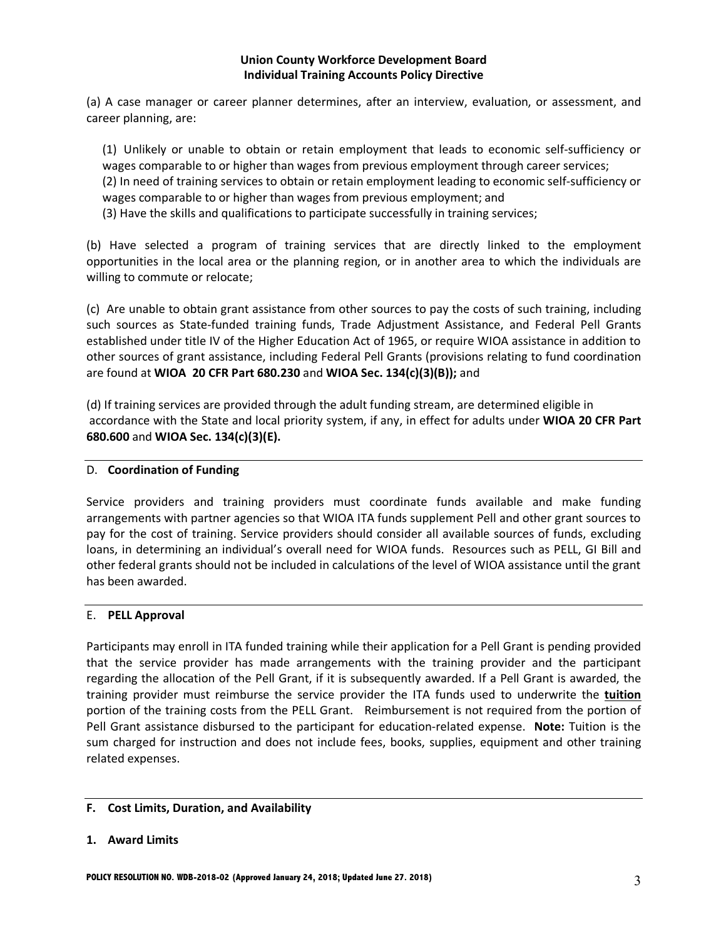(a) A case manager or career planner determines, after an interview, evaluation, or assessment, and career planning, are:

(1) Unlikely or unable to obtain or retain employment that leads to economic self-sufficiency or wages comparable to or higher than wages from previous employment through career services;

(2) In need of training services to obtain or retain employment leading to economic self-sufficiency or wages comparable to or higher than wages from previous employment; and

(3) Have the skills and qualifications to participate successfully in training services;

(b) Have selected a program of training services that are directly linked to the employment opportunities in the local area or the planning region, or in another area to which the individuals are willing to commute or relocate;

(c) Are unable to obtain grant assistance from other sources to pay the costs of such training, including such sources as State-funded training funds, Trade Adjustment Assistance, and Federal Pell Grants established under title IV of the Higher Education Act of 1965, or require WIOA assistance in addition to other sources of grant assistance, including Federal Pell Grants (provisions relating to fund coordination are found at **WIOA 20 CFR Part 680.230** and **WIOA Sec. 134(c)(3)(B));** and

(d) If training services are provided through the adult funding stream, are determined eligible in accordance with the State and local priority system, if any, in effect for adults under **WIOA 20 CFR Part 680.600** and **WIOA Sec. 134(c)(3)(E).**

### D. **Coordination of Funding**

Service providers and training providers must coordinate funds available and make funding arrangements with partner agencies so that WIOA ITA funds supplement Pell and other grant sources to pay for the cost of training. Service providers should consider all available sources of funds, excluding loans, in determining an individual's overall need for WIOA funds. Resources such as PELL, GI Bill and other federal grants should not be included in calculations of the level of WIOA assistance until the grant has been awarded.

### E. **PELL Approval**

Participants may enroll in ITA funded training while their application for a Pell Grant is pending provided that the service provider has made arrangements with the training provider and the participant regarding the allocation of the Pell Grant, if it is subsequently awarded. If a Pell Grant is awarded, the training provider must reimburse the service provider the ITA funds used to underwrite the **tuition**  portion of the training costs from the PELL Grant. Reimbursement is not required from the portion of Pell Grant assistance disbursed to the participant for education-related expense. **Note:** Tuition is the sum charged for instruction and does not include fees, books, supplies, equipment and other training related expenses.

### **F. Cost Limits, Duration, and Availability**

### **1. Award Limits**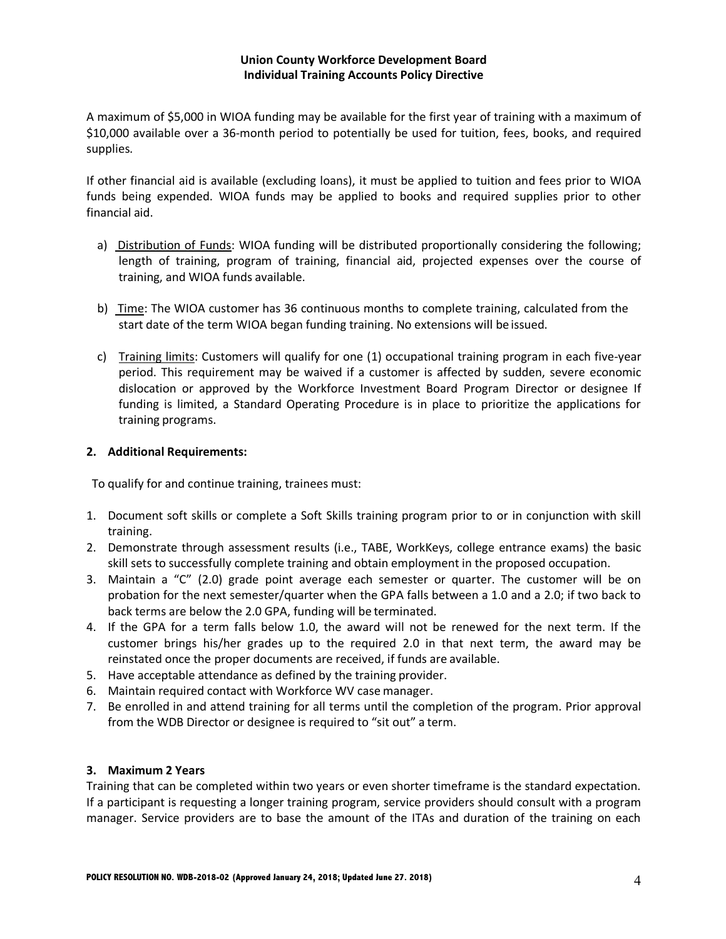A maximum of \$5,000 in WIOA funding may be available for the first year of training with a maximum of \$10,000 available over a 36-month period to potentially be used for tuition, fees, books, and required supplies.

If other financial aid is available (excluding loans), it must be applied to tuition and fees prior to WIOA funds being expended. WIOA funds may be applied to books and required supplies prior to other financial aid.

- a) Distribution of Funds: WIOA funding will be distributed proportionally considering the following; length of training, program of training, financial aid, projected expenses over the course of training, and WIOA funds available.
- b) Time: The WIOA customer has 36 continuous months to complete training, calculated from the start date of the term WIOA began funding training. No extensions will be issued.
- c) Training limits: Customers will qualify for one (1) occupational training program in each five-year period. This requirement may be waived if a customer is affected by sudden, severe economic dislocation or approved by the Workforce Investment Board Program Director or designee If funding is limited, a Standard Operating Procedure is in place to prioritize the applications for training programs.

### **2. Additional Requirements:**

To qualify for and continue training, trainees must:

- 1. Document soft skills or complete a Soft Skills training program prior to or in conjunction with skill training.
- 2. Demonstrate through assessment results (i.e., TABE, WorkKeys, college entrance exams) the basic skill sets to successfully complete training and obtain employment in the proposed occupation.
- 3. Maintain a "C" (2.0) grade point average each semester or quarter. The customer will be on probation for the next semester/quarter when the GPA falls between a 1.0 and a 2.0; if two back to back terms are below the 2.0 GPA, funding will be terminated.
- 4. If the GPA for a term falls below 1.0, the award will not be renewed for the next term. If the customer brings his/her grades up to the required 2.0 in that next term, the award may be reinstated once the proper documents are received, if funds are available.
- 5. Have acceptable attendance as defined by the training provider.
- 6. Maintain required contact with Workforce WV case manager.
- 7. Be enrolled in and attend training for all terms until the completion of the program. Prior approval from the WDB Director or designee is required to "sit out" a term.

### **3. Maximum 2 Years**

Training that can be completed within two years or even shorter timeframe is the standard expectation. If a participant is requesting a longer training program, service providers should consult with a program manager. Service providers are to base the amount of the ITAs and duration of the training on each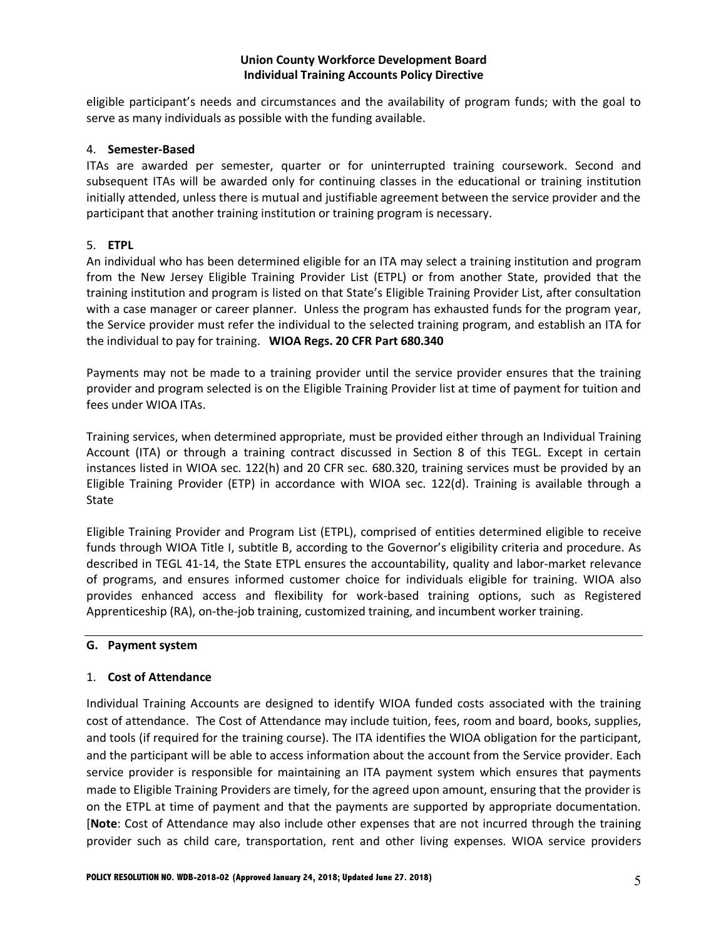eligible participant's needs and circumstances and the availability of program funds; with the goal to serve as many individuals as possible with the funding available.

### 4. **Semester-Based**

ITAs are awarded per semester, quarter or for uninterrupted training coursework. Second and subsequent ITAs will be awarded only for continuing classes in the educational or training institution initially attended, unless there is mutual and justifiable agreement between the service provider and the participant that another training institution or training program is necessary.

### 5. **ETPL**

An individual who has been determined eligible for an ITA may select a training institution and program from the New Jersey Eligible Training Provider List (ETPL) or from another State, provided that the training institution and program is listed on that State's Eligible Training Provider List, after consultation with a case manager or career planner. Unless the program has exhausted funds for the program year, the Service provider must refer the individual to the selected training program, and establish an ITA for the individual to pay for training. **WIOA Regs. 20 CFR Part 680.340**

Payments may not be made to a training provider until the service provider ensures that the training provider and program selected is on the Eligible Training Provider list at time of payment for tuition and fees under WIOA ITAs.

Training services, when determined appropriate, must be provided either through an Individual Training Account (ITA) or through a training contract discussed in Section 8 of this TEGL. Except in certain instances listed in WIOA sec. 122(h) and 20 CFR sec. 680.320, training services must be provided by an Eligible Training Provider (ETP) in accordance with WIOA sec. 122(d). Training is available through a State

Eligible Training Provider and Program List (ETPL), comprised of entities determined eligible to receive funds through WIOA Title I, subtitle B, according to the Governor's eligibility criteria and procedure. As described in TEGL 41-14, the State ETPL ensures the accountability, quality and labor-market relevance of programs, and ensures informed customer choice for individuals eligible for training. WIOA also provides enhanced access and flexibility for work-based training options, such as Registered Apprenticeship (RA), on-the-job training, customized training, and incumbent worker training.

### **G. Payment system**

#### 1. **Cost of Attendance**

Individual Training Accounts are designed to identify WIOA funded costs associated with the training cost of attendance. The Cost of Attendance may include tuition, fees, room and board, books, supplies, and tools (if required for the training course). The ITA identifies the WIOA obligation for the participant, and the participant will be able to access information about the account from the Service provider. Each service provider is responsible for maintaining an ITA payment system which ensures that payments made to Eligible Training Providers are timely, for the agreed upon amount, ensuring that the provider is on the ETPL at time of payment and that the payments are supported by appropriate documentation. [**Note**: Cost of Attendance may also include other expenses that are not incurred through the training provider such as child care, transportation, rent and other living expenses. WIOA service providers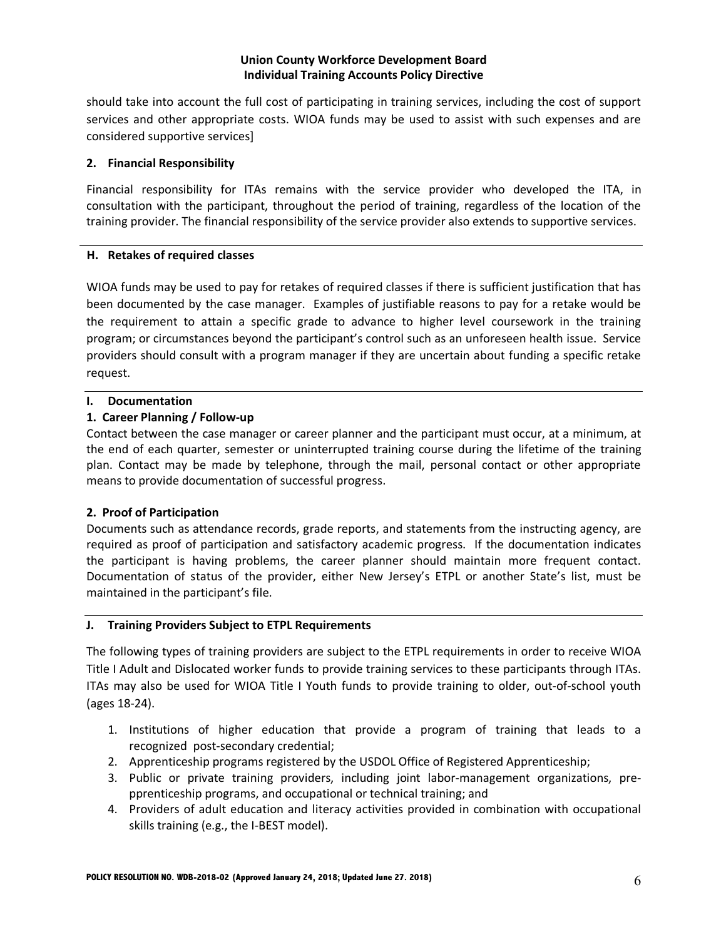should take into account the full cost of participating in training services, including the cost of support services and other appropriate costs. WIOA funds may be used to assist with such expenses and are considered supportive services]

### **2. Financial Responsibility**

Financial responsibility for ITAs remains with the service provider who developed the ITA, in consultation with the participant, throughout the period of training, regardless of the location of the training provider. The financial responsibility of the service provider also extends to supportive services.

### **H. Retakes of required classes**

WIOA funds may be used to pay for retakes of required classes if there is sufficient justification that has been documented by the case manager. Examples of justifiable reasons to pay for a retake would be the requirement to attain a specific grade to advance to higher level coursework in the training program; or circumstances beyond the participant's control such as an unforeseen health issue. Service providers should consult with a program manager if they are uncertain about funding a specific retake request.

## **I. Documentation**

# **1. Career Planning / Follow-up**

Contact between the case manager or career planner and the participant must occur, at a minimum, at the end of each quarter, semester or uninterrupted training course during the lifetime of the training plan. Contact may be made by telephone, through the mail, personal contact or other appropriate means to provide documentation of successful progress.

# **2. Proof of Participation**

Documents such as attendance records, grade reports, and statements from the instructing agency, are required as proof of participation and satisfactory academic progress. If the documentation indicates the participant is having problems, the career planner should maintain more frequent contact. Documentation of status of the provider, either New Jersey's ETPL or another State's list, must be maintained in the participant's file.

# **J. Training Providers Subject to ETPL Requirements**

The following types of training providers are subject to the ETPL requirements in order to receive WIOA Title I Adult and Dislocated worker funds to provide training services to these participants through ITAs. ITAs may also be used for WIOA Title I Youth funds to provide training to older, out-of-school youth (ages 18-24).

- 1. Institutions of higher education that provide a program of training that leads to a recognized post-secondary credential;
- 2. Apprenticeship programs registered by the USDOL Office of Registered Apprenticeship;
- 3. Public or private training providers, including joint labor-management organizations, prepprenticeship programs, and occupational or technical training; and
- 4. Providers of adult education and literacy activities provided in combination with occupational skills training (e.g., the I-BEST model).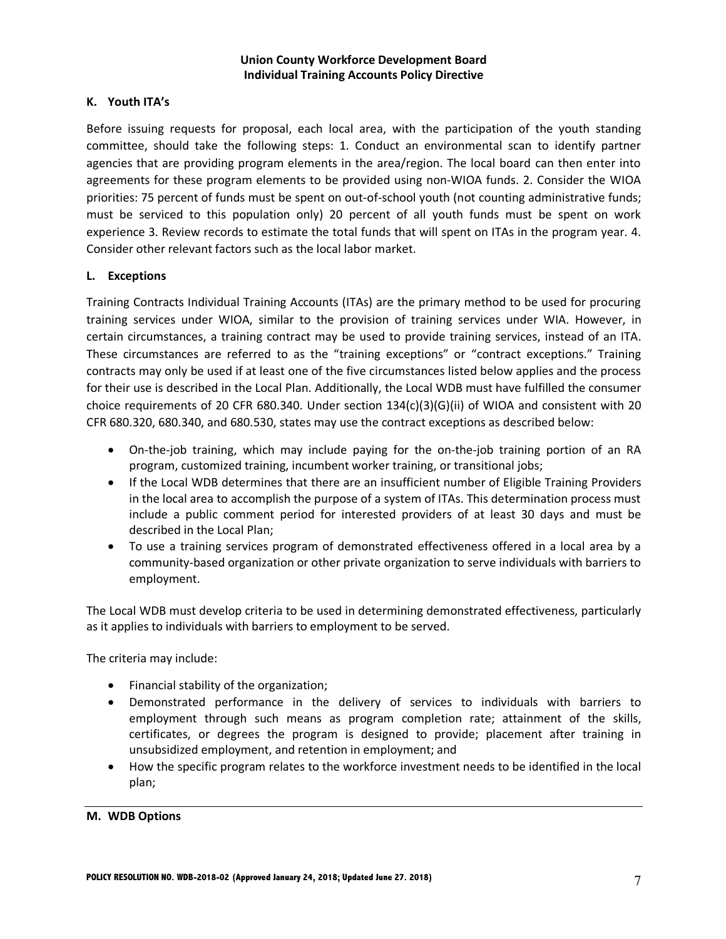### **K. Youth ITA's**

Before issuing requests for proposal, each local area, with the participation of the youth standing committee, should take the following steps: 1. Conduct an environmental scan to identify partner agencies that are providing program elements in the area/region. The local board can then enter into agreements for these program elements to be provided using non-WIOA funds. 2. Consider the WIOA priorities: 75 percent of funds must be spent on out-of-school youth (not counting administrative funds; must be serviced to this population only) 20 percent of all youth funds must be spent on work experience 3. Review records to estimate the total funds that will spent on ITAs in the program year. 4. Consider other relevant factors such as the local labor market.

### **L. Exceptions**

Training Contracts Individual Training Accounts (ITAs) are the primary method to be used for procuring training services under WIOA, similar to the provision of training services under WIA. However, in certain circumstances, a training contract may be used to provide training services, instead of an ITA. These circumstances are referred to as the "training exceptions" or "contract exceptions." Training contracts may only be used if at least one of the five circumstances listed below applies and the process for their use is described in the Local Plan. Additionally, the Local WDB must have fulfilled the consumer choice requirements of 20 CFR 680.340. Under section 134(c)(3)(G)(ii) of WIOA and consistent with 20 CFR 680.320, 680.340, and 680.530, states may use the contract exceptions as described below:

- On-the-job training, which may include paying for the on-the-job training portion of an RA program, customized training, incumbent worker training, or transitional jobs;
- If the Local WDB determines that there are an insufficient number of Eligible Training Providers in the local area to accomplish the purpose of a system of ITAs. This determination process must include a public comment period for interested providers of at least 30 days and must be described in the Local Plan;
- To use a training services program of demonstrated effectiveness offered in a local area by a community-based organization or other private organization to serve individuals with barriers to employment.

The Local WDB must develop criteria to be used in determining demonstrated effectiveness, particularly as it applies to individuals with barriers to employment to be served.

The criteria may include:

- Financial stability of the organization;
- Demonstrated performance in the delivery of services to individuals with barriers to employment through such means as program completion rate; attainment of the skills, certificates, or degrees the program is designed to provide; placement after training in unsubsidized employment, and retention in employment; and
- How the specific program relates to the workforce investment needs to be identified in the local plan;

**M. WDB Options**